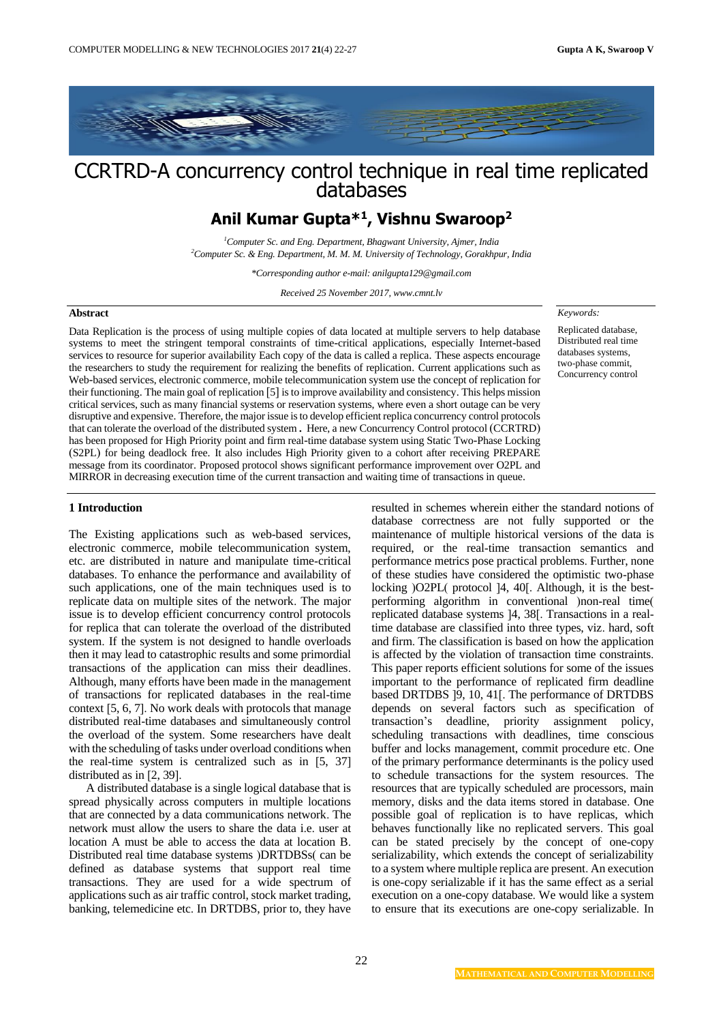

# CCRTRD-A concurrency control technique in real time replicated databases

## **Anil Kumar Gupta\* 1 , Vishnu Swaroop<sup>2</sup>**

*<sup>1</sup>Computer Sc. and Eng. Department, Bhagwant University, Ajmer, India <sup>2</sup>Computer Sc. & Eng. Department, M. M. M. University of Technology, Gorakhpur, India*

*\*Corresponding author e-mail: anilgupta129@gmail.com*

*Received 25 November 2017, www.cmnt.lv*

## **Abstract**

Data Replication is the process of using multiple copies of data located at multiple servers to help database systems to meet the stringent temporal constraints of time-critical applications, especially Internet-based services to resource for superior availability Each copy of the data is called a replica. These aspects encourage the researchers to study the requirement for realizing the benefits of replication. Current applications such as Web-based services, electronic commerce, mobile telecommunication system use the concept of replication for their functioning. The main goal of replication [5] is to improve availability and consistency. This helps mission critical services, such as many financial systems or reservation systems, where even a short outage can be very disruptive and expensive. Therefore, the major issue is to develop efficient replica concurrency control protocols that can tolerate the overload of the distributed system. Here, a new Concurrency Control protocol (CCRTRD) has been proposed for High Priority point and firm real-time database system using Static Two-Phase Locking (S2PL) for being deadlock free. It also includes High Priority given to a cohort after receiving PREPARE message from its coordinator. Proposed protocol shows significant performance improvement over O2PL and MIRROR in decreasing execution time of the current transaction and waiting time of transactions in queue.

### **1 Introduction**

The Existing applications such as web-based services, electronic commerce, mobile telecommunication system, etc. are distributed in nature and manipulate time-critical databases. To enhance the performance and availability of such applications, one of the main techniques used is to replicate data on multiple sites of the network. The major issue is to develop efficient concurrency control protocols for replica that can tolerate the overload of the distributed system. If the system is not designed to handle overloads then it may lead to catastrophic results and some primordial transactions of the application can miss their deadlines. Although, many efforts have been made in the management of transactions for replicated databases in the real-time context [5, 6, 7]. No work deals with protocols that manage distributed real-time databases and simultaneously control the overload of the system. Some researchers have dealt with the scheduling of tasks under overload conditions when the real-time system is centralized such as in [5, 37] distributed as in [2, 39].

A distributed database is a single logical database that is spread physically across computers in multiple locations that are connected by a data communications network. The network must allow the users to share the data i.e. user at location A must be able to access the data at location B. Distributed real time database systems )DRTDBSs( can be defined as database systems that support real time transactions. They are used for a wide spectrum of applications such as air traffic control, stock market trading, banking, telemedicine etc. In DRTDBS, prior to, they have

*Keywords:*

Replicated database, Distributed real time databases systems, two-phase commit, Concurrency control

resulted in schemes wherein either the standard notions of database correctness are not fully supported or the maintenance of multiple historical versions of the data is required, or the real-time transaction semantics and performance metrics pose practical problems. Further, none of these studies have considered the optimistic two-phase locking )O2PL( protocol ]4, 40[. Although, it is the bestperforming algorithm in conventional )non-real time( replicated database systems ]4, 38[. Transactions in a realtime database are classified into three types, viz. hard, soft and firm. The classification is based on how the application is affected by the violation of transaction time constraints. This paper reports efficient solutions for some of the issues important to the performance of replicated firm deadline based DRTDBS ]9, 10, 41[. The performance of DRTDBS depends on several factors such as specification of transaction's deadline, priority assignment policy, scheduling transactions with deadlines, time conscious buffer and locks management, commit procedure etc. One of the primary performance determinants is the policy used to schedule transactions for the system resources. The resources that are typically scheduled are processors, main memory, disks and the data items stored in database. One possible goal of replication is to have replicas, which behaves functionally like no replicated servers. This goal can be stated precisely by the concept of one-copy serializability, which extends the concept of serializability to a system where multiple replica are present. An execution is one-copy serializable if it has the same effect as a serial execution on a one-copy database. We would like a system to ensure that its executions are one-copy serializable. In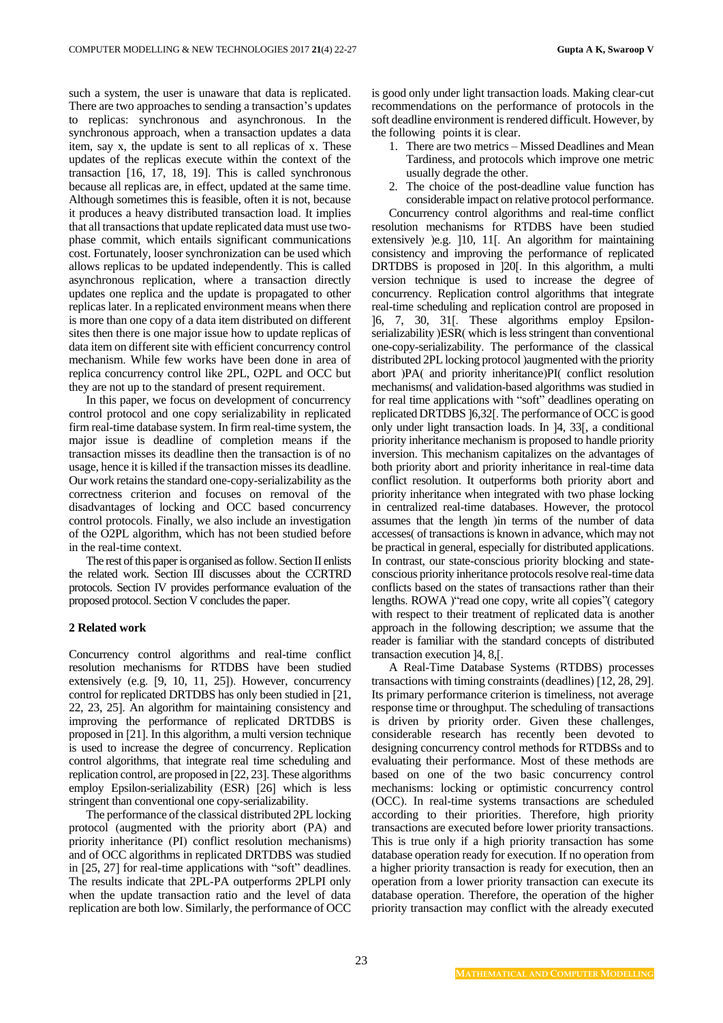such a system, the user is unaware that data is replicated. There are two approaches to sending a transaction's updates to replicas: synchronous and asynchronous. In the synchronous approach, when a transaction updates a data item, say x, the update is sent to all replicas of x. These updates of the replicas execute within the context of the transaction [16, 17, 18, 19]. This is called synchronous because all replicas are, in effect, updated at the same time. Although sometimes this is feasible, often it is not, because it produces a heavy distributed transaction load. It implies that all transactions that update replicated data must use twophase commit, which entails significant communications cost. Fortunately, looser synchronization can be used which allows replicas to be updated independently. This is called asynchronous replication, where a transaction directly updates one replica and the update is propagated to other replicas later. In a replicated environment means when there is more than one copy of a data item distributed on different sites then there is one major issue how to update replicas of data item on different site with efficient concurrency control mechanism. While few works have been done in area of replica concurrency control like 2PL, O2PL and OCC but they are not up to the standard of present requirement.

In this paper, we focus on development of concurrency control protocol and one copy serializability in replicated firm real-time database system. In firm real-time system, the major issue is deadline of completion means if the transaction misses its deadline then the transaction is of no usage, hence it is killed if the transaction misses its deadline. Our work retains the standard one-copy-serializability as the correctness criterion and focuses on removal of the disadvantages of locking and OCC based concurrency control protocols. Finally, we also include an investigation of the O2PL algorithm, which has not been studied before in the real-time context.

The rest of this paper is organised as follow. Section II enlists the related work. Section III discusses about the CCRTRD protocols. Section IV provides performance evaluation of the proposed protocol. Section V concludes the paper.

## **2 Related work**

Concurrency control algorithms and real-time conflict resolution mechanisms for RTDBS have been studied extensively (e.g. [9, 10, 11, 25]). However, concurrency control for replicated DRTDBS has only been studied in [21, 22, 23, 25]. An algorithm for maintaining consistency and improving the performance of replicated DRTDBS is proposed in [21]. In this algorithm, a multi version technique is used to increase the degree of concurrency. Replication control algorithms, that integrate real time scheduling and replication control, are proposed in [22, 23]. These algorithms employ Epsilon-serializability (ESR) [26] which is less stringent than conventional one copy-serializability.

The performance of the classical distributed 2PL locking protocol (augmented with the priority abort (PA) and priority inheritance (PI) conflict resolution mechanisms) and of OCC algorithms in replicated DRTDBS was studied in [25, 27] for real-time applications with "soft" deadlines. The results indicate that 2PL-PA outperforms 2PLPI only when the update transaction ratio and the level of data replication are both low. Similarly, the performance of OCC

is good only under light transaction loads. Making clear-cut recommendations on the performance of protocols in the soft deadline environment is rendered difficult. However, by the following points it is clear.

- 1. There are two metrics Missed Deadlines and Mean Tardiness, and protocols which improve one metric usually degrade the other.
- 2. The choice of the post-deadline value function has considerable impact on relative protocol performance.

Concurrency control algorithms and real-time conflict resolution mechanisms for RTDBS have been studied extensively )e.g. ]10, 11[. An algorithm for maintaining consistency and improving the performance of replicated DRTDBS is proposed in [20]. In this algorithm, a multi version technique is used to increase the degree of concurrency. Replication control algorithms that integrate real-time scheduling and replication control are proposed in ]6, 7, 30, 31[. These algorithms employ Epsilonserializability )ESR( which is less stringent than conventional one-copy-serializability. The performance of the classical distributed 2PL locking protocol )augmented with the priority abort )PA( and priority inheritance)PI( conflict resolution mechanisms( and validation-based algorithms was studied in for real time applications with "soft" deadlines operating on replicated DRTDBS ]6,32[. The performance of OCC is good only under light transaction loads. In ]4, 33[, a conditional priority inheritance mechanism is proposed to handle priority inversion. This mechanism capitalizes on the advantages of both priority abort and priority inheritance in real-time data conflict resolution. It outperforms both priority abort and priority inheritance when integrated with two phase locking in centralized real-time databases. However, the protocol assumes that the length )in terms of the number of data accesses( of transactions is known in advance, which may not be practical in general, especially for distributed applications. In contrast, our state-conscious priority blocking and stateconscious priority inheritance protocols resolve real-time data conflicts based on the states of transactions rather than their lengths. ROWA )"read one copy, write all copies"( category with respect to their treatment of replicated data is another approach in the following description; we assume that the reader is familiar with the standard concepts of distributed transaction execution ]4, 8,[.

A Real-Time Database Systems (RTDBS) processes transactions with timing constraints (deadlines) [12, 28, 29]. Its primary performance criterion is timeliness, not average response time or throughput. The scheduling of transactions is driven by priority order. Given these challenges, considerable research has recently been devoted to designing concurrency control methods for RTDBSs and to evaluating their performance. Most of these methods are based on one of the two basic concurrency control mechanisms: locking or optimistic concurrency control (OCC). In real-time systems transactions are scheduled according to their priorities. Therefore, high priority transactions are executed before lower priority transactions. This is true only if a high priority transaction has some database operation ready for execution. If no operation from a higher priority transaction is ready for execution, then an operation from a lower priority transaction can execute its database operation. Therefore, the operation of the higher priority transaction may conflict with the already executed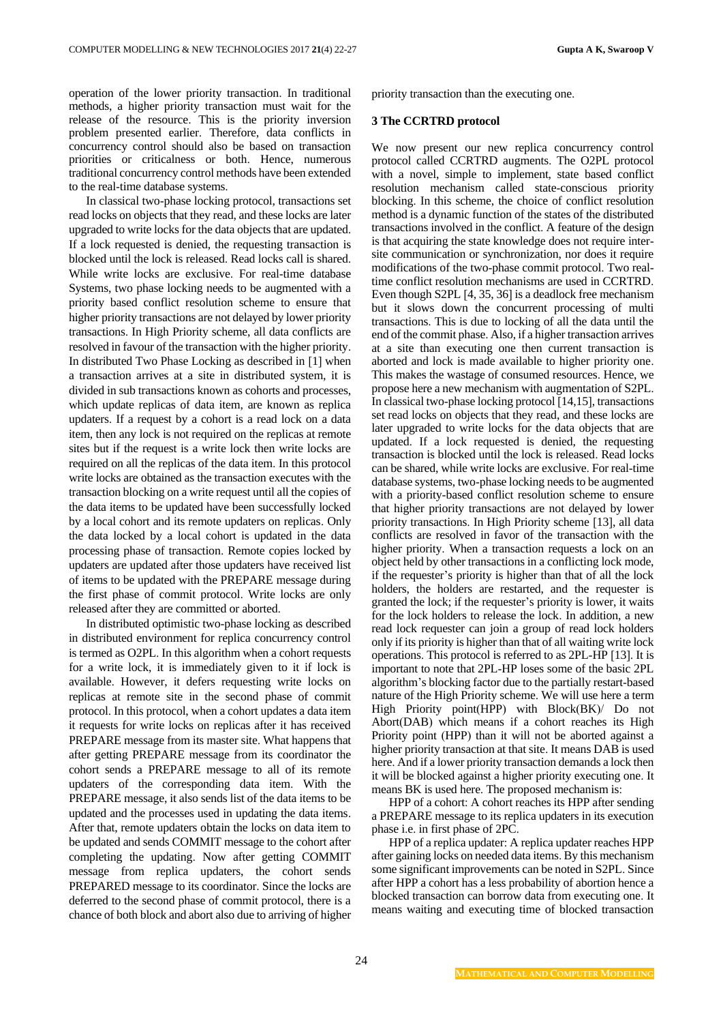operation of the lower priority transaction. In traditional methods, a higher priority transaction must wait for the release of the resource. This is the priority inversion problem presented earlier. Therefore, data conflicts in concurrency control should also be based on transaction priorities or criticalness or both. Hence, numerous traditional concurrency control methods have been extended to the real-time database systems.

In classical two-phase locking protocol, transactions set read locks on objects that they read, and these locks are later upgraded to write locks for the data objects that are updated. If a lock requested is denied, the requesting transaction is blocked until the lock is released. Read locks call is shared. While write locks are exclusive. For real-time database Systems, two phase locking needs to be augmented with a priority based conflict resolution scheme to ensure that higher priority transactions are not delayed by lower priority transactions. In High Priority scheme, all data conflicts are resolved in favour of the transaction with the higher priority. In distributed Two Phase Locking as described in [1] when a transaction arrives at a site in distributed system, it is divided in sub transactions known as cohorts and processes, which update replicas of data item, are known as replica updaters. If a request by a cohort is a read lock on a data item, then any lock is not required on the replicas at remote sites but if the request is a write lock then write locks are required on all the replicas of the data item. In this protocol write locks are obtained as the transaction executes with the transaction blocking on a write request until all the copies of the data items to be updated have been successfully locked by a local cohort and its remote updaters on replicas. Only the data locked by a local cohort is updated in the data processing phase of transaction. Remote copies locked by updaters are updated after those updaters have received list of items to be updated with the PREPARE message during the first phase of commit protocol. Write locks are only released after they are committed or aborted.

In distributed optimistic two-phase locking as described in distributed environment for replica concurrency control is termed as O2PL. In this algorithm when a cohort requests for a write lock, it is immediately given to it if lock is available. However, it defers requesting write locks on replicas at remote site in the second phase of commit protocol. In this protocol, when a cohort updates a data item it requests for write locks on replicas after it has received PREPARE message from its master site. What happens that after getting PREPARE message from its coordinator the cohort sends a PREPARE message to all of its remote updaters of the corresponding data item. With the PREPARE message, it also sends list of the data items to be updated and the processes used in updating the data items. After that, remote updaters obtain the locks on data item to be updated and sends COMMIT message to the cohort after completing the updating. Now after getting COMMIT message from replica updaters, the cohort sends PREPARED message to its coordinator. Since the locks are deferred to the second phase of commit protocol, there is a chance of both block and abort also due to arriving of higher

priority transaction than the executing one.

## **3 The CCRTRD protocol**

We now present our new replica concurrency control protocol called CCRTRD augments. The O2PL protocol with a novel, simple to implement, state based conflict resolution mechanism called state-conscious priority blocking. In this scheme, the choice of conflict resolution method is a dynamic function of the states of the distributed transactions involved in the conflict. A feature of the design is that acquiring the state knowledge does not require intersite communication or synchronization, nor does it require modifications of the two-phase commit protocol. Two realtime conflict resolution mechanisms are used in CCRTRD. Even though S2PL [4, 35, 36] is a deadlock free mechanism but it slows down the concurrent processing of multi transactions. This is due to locking of all the data until the end of the commit phase. Also, if a higher transaction arrives at a site than executing one then current transaction is aborted and lock is made available to higher priority one. This makes the wastage of consumed resources. Hence, we propose here a new mechanism with augmentation of S2PL. In classical two-phase locking protocol [14,15], transactions set read locks on objects that they read, and these locks are later upgraded to write locks for the data objects that are updated. If a lock requested is denied, the requesting transaction is blocked until the lock is released. Read locks can be shared, while write locks are exclusive. For real-time database systems, two-phase locking needs to be augmented with a priority-based conflict resolution scheme to ensure that higher priority transactions are not delayed by lower priority transactions. In High Priority scheme [13], all data conflicts are resolved in favor of the transaction with the higher priority. When a transaction requests a lock on an object held by other transactions in a conflicting lock mode, if the requester's priority is higher than that of all the lock holders, the holders are restarted, and the requester is granted the lock; if the requester's priority is lower, it waits for the lock holders to release the lock. In addition, a new read lock requester can join a group of read lock holders only if its priority is higher than that of all waiting write lock operations. This protocol is referred to as 2PL-HP [13]. It is important to note that 2PL-HP loses some of the basic 2PL algorithm's blocking factor due to the partially restart-based nature of the High Priority scheme. We will use here a term High Priority point(HPP) with Block(BK)/ Do not Abort(DAB) which means if a cohort reaches its High Priority point (HPP) than it will not be aborted against a higher priority transaction at that site. It means DAB is used here. And if a lower priority transaction demands a lock then it will be blocked against a higher priority executing one. It means BK is used here. The proposed mechanism is:

HPP of a cohort: A cohort reaches its HPP after sending a PREPARE message to its replica updaters in its execution phase i.e. in first phase of 2PC.

HPP of a replica updater: A replica updater reaches HPP after gaining locks on needed data items. By this mechanism some significant improvements can be noted in S2PL. Since after HPP a cohort has a less probability of abortion hence a blocked transaction can borrow data from executing one. It means waiting and executing time of blocked transaction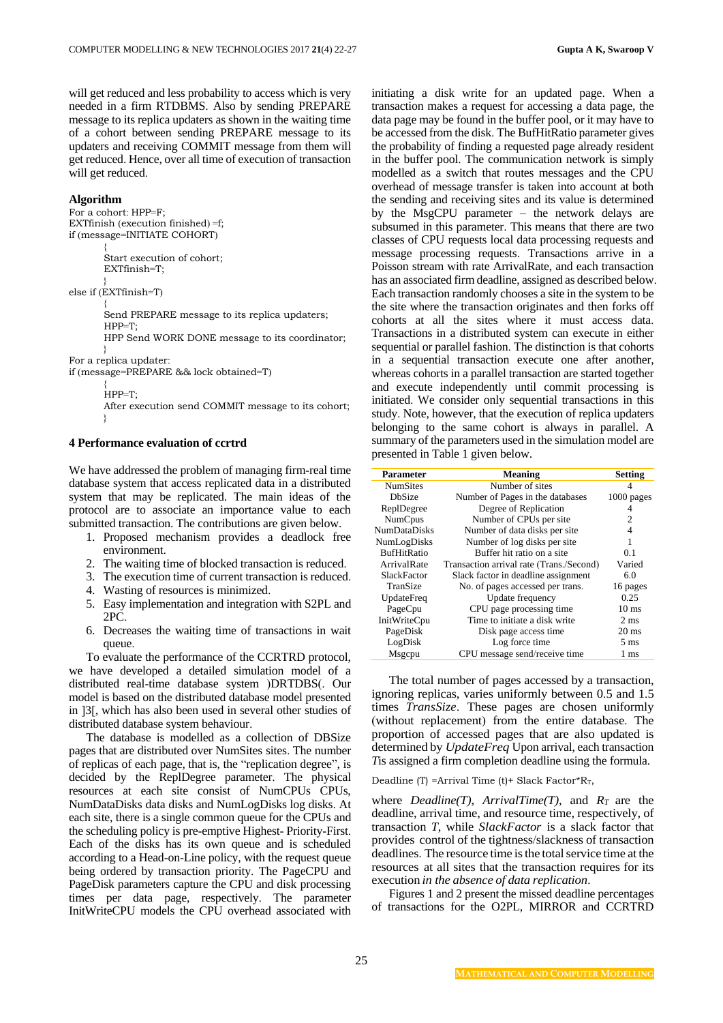will get reduced and less probability to access which is very needed in a firm RTDBMS. Also by sending PREPARE message to its replica updaters as shown in the waiting time of a cohort between sending PREPARE message to its updaters and receiving COMMIT message from them will get reduced. Hence, over all time of execution of transaction will get reduced.

#### **Algorithm**

```
For a cohort: HPP=F;
EXTfinish (execution finished) =f;
if (message=INITIATE COHORT)
       {
       Start execution of cohort;
       EXTfinish=T;
       }
else if (EXTfinish=T)
       {
       Send PREPARE message to its replica updaters;
       HPP=T;
       HPP Send WORK DONE message to its coordinator;
       }
For a replica updater:
if (message=PREPARE && lock obtained=T)
       {
       HPP=T:
```
After execution send COMMIT message to its cohort; }

## **4 Performance evaluation of ccrtrd**

We have addressed the problem of managing firm-real time database system that access replicated data in a distributed system that may be replicated. The main ideas of the protocol are to associate an importance value to each submitted transaction. The contributions are given below.

- 1. Proposed mechanism provides a deadlock free environment.
- 2. The waiting time of blocked transaction is reduced.
- 3. The execution time of current transaction is reduced.
- 4. Wasting of resources is minimized.
- 5. Easy implementation and integration with S2PL and 2PC.
- 6. Decreases the waiting time of transactions in wait queue.

To evaluate the performance of the CCRTRD protocol, we have developed a detailed simulation model of a distributed real-time database system )DRTDBS(. Our model is based on the distributed database model presented in ]3[, which has also been used in several other studies of distributed database system behaviour.

The database is modelled as a collection of DBSize pages that are distributed over NumSites sites. The number of replicas of each page, that is, the "replication degree", is decided by the ReplDegree parameter. The physical resources at each site consist of NumCPUs CPUs, NumDataDisks data disks and NumLogDisks log disks. At each site, there is a single common queue for the CPUs and the scheduling policy is pre-emptive Highest- Priority-First. Each of the disks has its own queue and is scheduled according to a Head-on-Line policy, with the request queue being ordered by transaction priority. The PageCPU and PageDisk parameters capture the CPU and disk processing times per data page, respectively. The parameter InitWriteCPU models the CPU overhead associated with initiating a disk write for an updated page. When a transaction makes a request for accessing a data page, the data page may be found in the buffer pool, or it may have to be accessed from the disk. The BufHitRatio parameter gives the probability of finding a requested page already resident in the buffer pool. The communication network is simply modelled as a switch that routes messages and the CPU overhead of message transfer is taken into account at both the sending and receiving sites and its value is determined by the MsgCPU parameter – the network delays are subsumed in this parameter. This means that there are two classes of CPU requests local data processing requests and message processing requests. Transactions arrive in a Poisson stream with rate ArrivalRate, and each transaction has an associated firm deadline, assigned as described below. Each transaction randomly chooses a site in the system to be the site where the transaction originates and then forks off cohorts at all the sites where it must access data. Transactions in a distributed system can execute in either sequential or parallel fashion. The distinction is that cohorts in a sequential transaction execute one after another, whereas cohorts in a parallel transaction are started together and execute independently until commit processing is initiated. We consider only sequential transactions in this study. Note, however, that the execution of replica updaters belonging to the same cohort is always in parallel. A summary of the parameters used in the simulation model are presented in Table 1 given below.

| Parameter           | <b>Meaning</b>                           | <b>Setting</b>   |
|---------------------|------------------------------------------|------------------|
| <b>NumSites</b>     | Number of sites                          |                  |
| <b>DbSize</b>       | Number of Pages in the databases         | 1000 pages       |
| ReplDegree          | Degree of Replication                    | 4                |
| NumCpus             | Number of CPUs per site                  | 2                |
| <b>NumDataDisks</b> | Number of data disks per site            | 4                |
| NumLogDisks         | Number of log disks per site             |                  |
| <b>BufHitRatio</b>  | Buffer hit ratio on a site               | 0.1              |
| ArrivalRate         | Transaction arrival rate (Trans./Second) | Varied           |
| <b>SlackFactor</b>  | Slack factor in deadline assignment      | 6.0              |
| TranSize            | No. of pages accessed per trans.         | 16 pages         |
| UpdateFreq          | Update frequency                         | 0.25             |
| PageCpu             | CPU page processing time                 | 10 <sub>ms</sub> |
| InitWriteCpu        | Time to initiate a disk write            | 2 ms             |
| PageDisk            | Disk page access time                    | $20 \text{ ms}$  |
| LogDisk             | Log force time                           | 5 ms             |
| Msgcpu              | CPU message send/receive time            | 1 ms             |

The total number of pages accessed by a transaction, ignoring replicas, varies uniformly between 0.5 and 1.5 times *TransSize*. These pages are chosen uniformly (without replacement) from the entire database. The proportion of accessed pages that are also updated is determined by *UpdateFreq* Upon arrival, each transaction *T*is assigned a firm completion deadline using the formula.

Deadline (T) = Arrival Time (t) + Slack Factor \*  $R_T$ ,

where *Deadline(T)*, *ArrivalTime(T)*, and  $R_T$  are the deadline, arrival time, and resource time, respectively, of transaction *T*, while *SlackFactor* is a slack factor that provides control of the tightness/slackness of transaction deadlines. The resource time is the total service time at the resources at all sites that the transaction requires for its execution *in the absence of data replication*.

Figures 1 and 2 present the missed deadline percentages of transactions for the O2PL, MIRROR and CCRTRD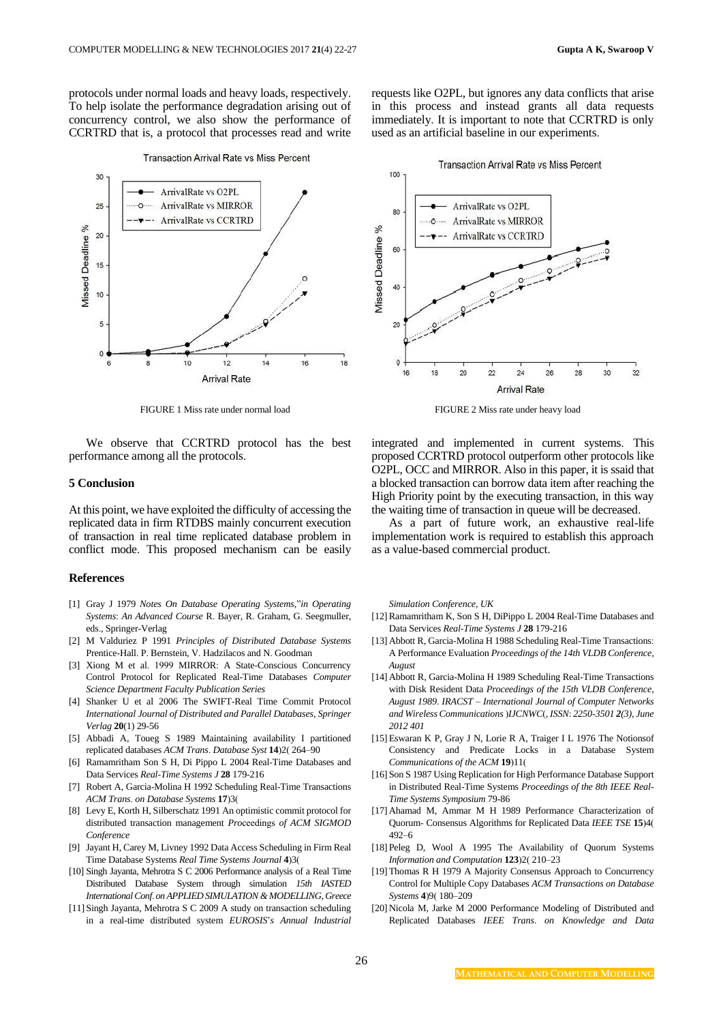protocols under normal loads and heavy loads, respectively. To help isolate the performance degradation arising out of concurrency control, we also show the performance of CCRTRD that is, a protocol that processes read and write

#### **Transaction Arrival Rate vs Miss Percent**



FIGURE 1 Miss rate under normal load FIGURE 2 Miss rate under heavy load

We observe that CCRTRD protocol has the best performance among all the protocols.

#### **5 Conclusion**

At this point, we have exploited the difficulty of accessing the replicated data in firm RTDBS mainly concurrent execution of transaction in real time replicated database problem in conflict mode. This proposed mechanism can be easily

#### **References**

- [1] Gray J 1979 *Notes On Database Operating Systems,*"*in Operating Systems*: *An Advanced Course* R. Bayer, R. Graham, G. Seegmuller, eds., Springer-Verlag
- [2] M Valduriez P 1991 *Principles of Distributed Database Systems* Prentice-Hall. P. Bernstein, V. Hadzilacos and N. Goodman
- [3] Xiong M et al. 1999 MIRROR: A State-Conscious Concurrency Control Protocol for Replicated Real-Time Databases *Computer Science Department Faculty Publication Series*
- [4] Shanker U et al 2006 The SWIFT-Real Time Commit Protocol *International Journal of Distributed and Parallel Databases, Springer Verlag* **20**(1) 29-56
- [5] Abbadi A, Toueg S 1989 Maintaining availability I partitioned replicated databases *ACM Trans*. *Database Syst* **14**)2( 264–90
- [6] Ramamritham Son S H, Di Pippo L 2004 Real-Time Databases and Data Services *Real*-*Time Systems J* **28** 179-216
- [7] Robert A, Garcia-Molina H 1992 Scheduling Real-Time Transactions *ACM Trans*. *on Database Systems* **17**)3(
- [8] Levy E, Korth H, Silberschatz 1991 An optimistic commit protocol for distributed transaction management *Pro*ceedings *of ACM SIGMOD Conference*
- [9] Jayant H, Carey M, Livney 1992 Data Access Scheduling in Firm Real Time Database Systems *Real Time Systems Journal* **4**)3(
- [10] Singh Jayanta, Mehrotra S C 2006 Performance analysis of a Real Time Distributed Database System through simulation *15th IASTED International Conf*. *on APPLIED SIMULATION & MODELLING, Greece*
- [11] Singh Jayanta, Mehrotra S C 2009 A study on transaction scheduling in a real-time distributed system *EUROSIS*'*s Annual Industrial*

requests like O2PL, but ignores any data conflicts that arise in this process and instead grants all data requests immediately. It is important to note that CCRTRD is only used as an artificial baseline in our experiments.



integrated and implemented in current systems. This proposed CCRTRD protocol outperform other protocols like O2PL, OCC and MIRROR. Also in this paper, it is ssaid that a blocked transaction can borrow data item after reaching the High Priority point by the executing transaction, in this way the waiting time of transaction in queue will be decreased.

As a part of future work, an exhaustive real-life implementation work is required to establish this approach as a value-based commercial product.

*Simulation Conference, UK*

- [12]Ramamritham K, Son S H, DiPippo L 2004 Real-Time Databases and Data Services *Real*-*Time Systems J* **28** 179-216
- [13] Abbott R, Garcia-Molina H 1988 Scheduling Real-Time Transactions: A Performance Evaluation *Proceedings of the 14th VLDB Conference, August*
- [14] Abbott R, Garcia-Molina H 1989 Scheduling Real-Time Transactions with Disk Resident Data *Proceedings of the 15th VLDB Conference, August 1989*. *IRACST* – *International Journal of Computer Networks and Wireless Communications* )*IJCNWC*(*, ISSN*: *2250*-*3501 2(3), June 2012 401*
- [15]Eswaran K P, Gray J N, Lorie R A, Traiger I L 1976 The Notionsof Consistency and Predicate Locks in a Database System *Communications of the ACM* **19**)11(
- [16] Son S 1987 Using Replication for High Performance Database Support in Distributed Real-Time Systems *Proceedings of the 8th IEEE Real*-*Time Systems Symposium* 79-86
- [17] Ahamad M, Ammar M H 1989 Performance Characterization of Quorum- Consensus Algorithms for Replicated Data *IEEE TSE* **15**)4( 492–6
- [18] Peleg D, Wool A 1995 The Availability of Quorum Systems *Information and Computation* **123**)2( 210–23
- [19]Thomas R H 1979 A Majority Consensus Approach to Concurrency Control for Multiple Copy Databases *ACM Transactions on Database Systems* **4**)9( 180–209
- [20] Nicola M, Jarke M 2000 Performance Modeling of Distributed and Replicated Databases *IEEE Trans*. *on Knowledge and Data*